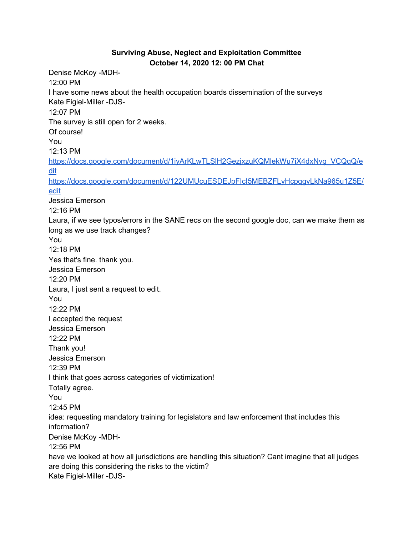## **Surviving Abuse, Neglect and Exploitation Committee October 14, 2020 12: 00 PM Chat**

Denise McKoy -MDH-12:00 PM I have some news about the health occupation boards dissemination of the surveys Kate Figiel-Miller -DJS-12:07 PM The survey is still open for 2 weeks. Of course! You 12:13 PM [https://docs.google.com/document/d/1iyArKLwTLSlH2GezjxzuKQMlekWu7iX4dxNvg\\_VCQqQ/e](https://meet.google.com/linkredirect?authuser=1&dest=https%3A%2F%2Fdocs.google.com%2Fdocument%2Fd%2F1iyArKLwTLSlH2GezjxzuKQMlekWu7iX4dxNvg_VCQqQ%2Fedit) [dit](https://meet.google.com/linkredirect?authuser=1&dest=https%3A%2F%2Fdocs.google.com%2Fdocument%2Fd%2F1iyArKLwTLSlH2GezjxzuKQMlekWu7iX4dxNvg_VCQqQ%2Fedit) [https://docs.google.com/document/d/122UMUcuESDEJpFIcI5MEBZFLyHcpqgvLkNa965u1Z5E/](https://meet.google.com/linkredirect?authuser=1&dest=https%3A%2F%2Fdocs.google.com%2Fdocument%2Fd%2F122UMUcuESDEJpFIcI5MEBZFLyHcpqgvLkNa965u1Z5E%2Fedit) [edit](https://meet.google.com/linkredirect?authuser=1&dest=https%3A%2F%2Fdocs.google.com%2Fdocument%2Fd%2F122UMUcuESDEJpFIcI5MEBZFLyHcpqgvLkNa965u1Z5E%2Fedit) Jessica Emerson 12:16 PM Laura, if we see typos/errors in the SANE recs on the second google doc, can we make them as long as we use track changes? You 12:18 PM Yes that's fine. thank you. Jessica Emerson 12:20 PM Laura, I just sent a request to edit. You 12:22 PM I accepted the request Jessica Emerson 12:22 PM Thank you! Jessica Emerson 12:39 PM I think that goes across categories of victimization! Totally agree. You 12:45 PM idea: requesting mandatory training for legislators and law enforcement that includes this information? Denise McKoy -MDH-12:56 PM have we looked at how all jurisdictions are handling this situation? Cant imagine that all judges are doing this considering the risks to the victim? Kate Figiel-Miller -DJS-